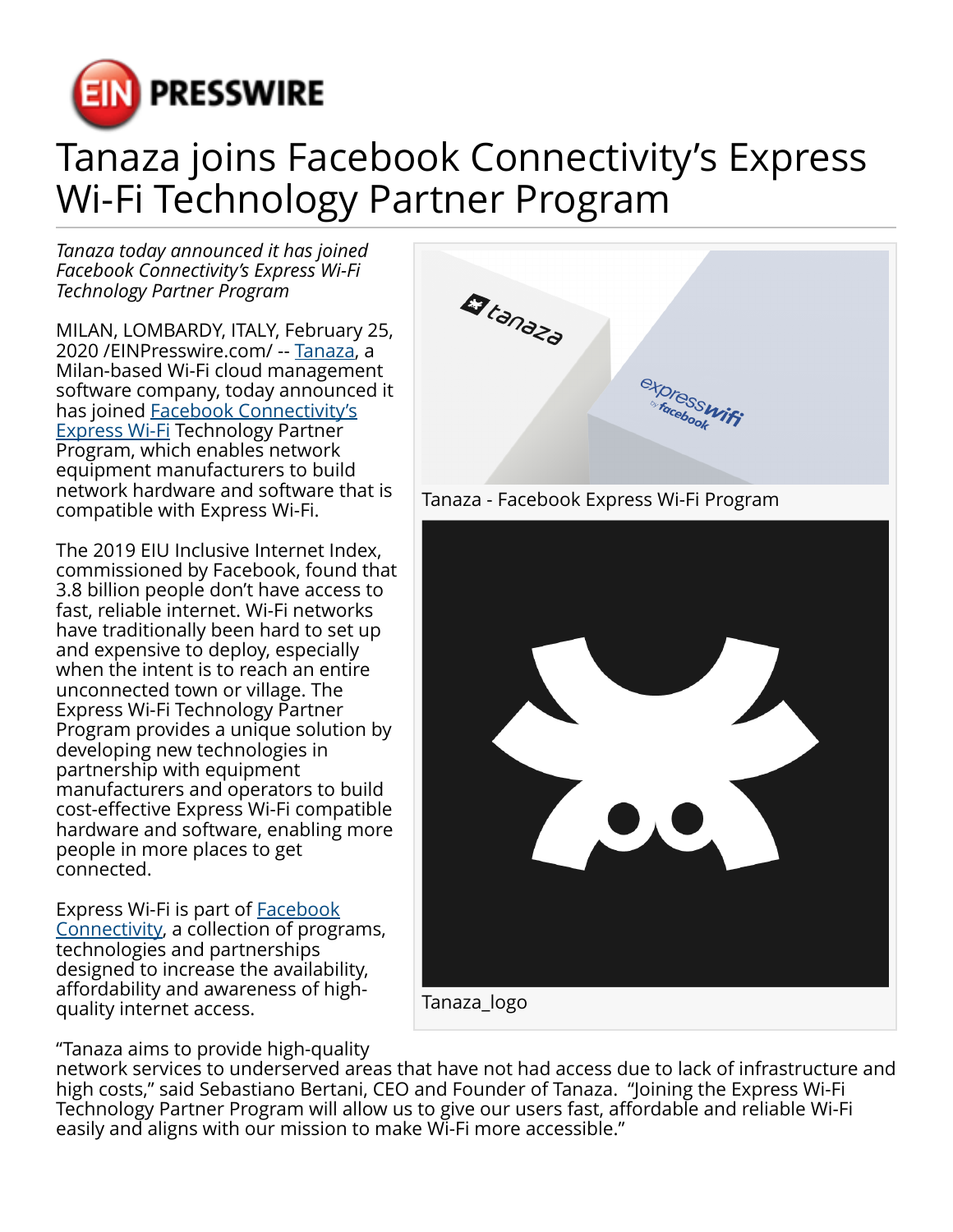

## Tanaza joins Facebook Connectivity's Express Wi-Fi Technology Partner Program

*Tanaza today announced it has joined Facebook Connectivity's Express Wi-Fi Technology Partner Program*

MILAN, LOMBARDY, ITALY, February 25, 2020 /[EINPresswire.com](http://www.einpresswire.com)/ -- [Tanaza](https://www.tanaza.com/), a Milan-based Wi-Fi cloud management software company, today announced it has joined [Facebook Connectivity's](https://connectivity.fb.com/wi-fi/) [Express Wi-Fi](https://connectivity.fb.com/wi-fi/) Technology Partner Program, which enables network equipment manufacturers to build network hardware and software that is compatible with Express Wi-Fi.

The 2019 EIU Inclusive Internet Index, commissioned by Facebook, found that 3.8 billion people don't have access to fast, reliable internet. Wi-Fi networks have traditionally been hard to set up and expensive to deploy, especially when the intent is to reach an entire unconnected town or village. The Express Wi-Fi Technology Partner Program provides a unique solution by developing new technologies in partnership with equipment manufacturers and operators to build cost-effective Express Wi-Fi compatible hardware and software, enabling more people in more places to get connected.

Express Wi-Fi is part of [Facebook](https://connectivity.fb.com) [Connectivity,](https://connectivity.fb.com) a collection of programs, technologies and partnerships designed to increase the availability, affordability and awareness of highquality internet access.

"Tanaza aims to provide high-quality



network services to underserved areas that have not had access due to lack of infrastructure and high costs," said Sebastiano Bertani, CEO and Founder of Tanaza. "Joining the Express Wi-Fi Technology Partner Program will allow us to give our users fast, affordable and reliable Wi-Fi easily and aligns with our mission to make Wi-Fi more accessible."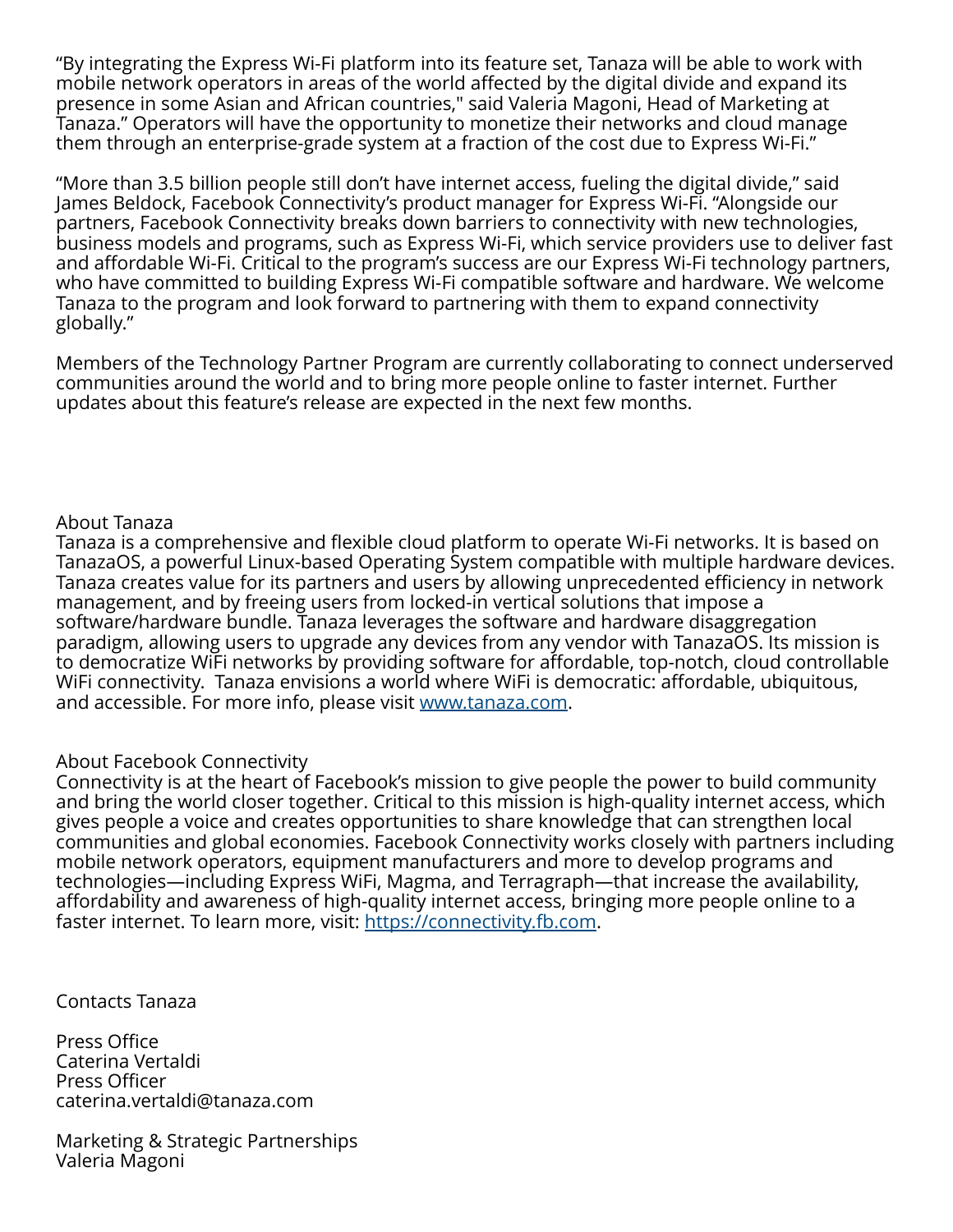"By integrating the Express Wi-Fi platform into its feature set, Tanaza will be able to work with mobile network operators in areas of the world affected by the digital divide and expand its presence in some Asian and African countries," said Valeria Magoni, Head of Marketing at Tanaza." Operators will have the opportunity to monetize their networks and cloud manage them through an enterprise-grade system at a fraction of the cost due to Express Wi-Fi."

"More than 3.5 billion people still don't have internet access, fueling the digital divide," said James Beldock, Facebook Connectivity's product manager for Express Wi-Fi. "Alongside our partners, Facebook Connectivity breaks down barriers to connectivity with new technologies, business models and programs, such as Express Wi-Fi, which service providers use to deliver fast and affordable Wi-Fi. Critical to the program's success are our Express Wi-Fi technology partners, who have committed to building Express Wi-Fi compatible software and hardware. We welcome Tanaza to the program and look forward to partnering with them to expand connectivity globally."

Members of the Technology Partner Program are currently collaborating to connect underserved communities around the world and to bring more people online to faster internet. Further updates about this feature's release are expected in the next few months.

## About Tanaza

Tanaza is a comprehensive and flexible cloud platform to operate Wi-Fi networks. It is based on TanazaOS, a powerful Linux-based Operating System compatible with multiple hardware devices. Tanaza creates value for its partners and users by allowing unprecedented efficiency in network management, and by freeing users from locked-in vertical solutions that impose a software/hardware bundle. Tanaza leverages the software and hardware disaggregation paradigm, allowing users to upgrade any devices from any vendor with TanazaOS. Its mission is to democratize WiFi networks by providing software for affordable, top-notch, cloud controllable WiFi connectivity. Tanaza envisions a world where WiFi is democratic: affordable, ubiquitous, and accessible. For more info, please visit [www.tanaza.com.](http://www.tanaza.com)

## About Facebook Connectivity

Connectivity is at the heart of Facebook's mission to give people the power to build community and bring the world closer together. Critical to this mission is high-quality internet access, which gives people a voice and creates opportunities to share knowledge that can strengthen local communities and global economies. Facebook Connectivity works closely with partners including mobile network operators, equipment manufacturers and more to develop programs and technologies—including Express WiFi, Magma, and Terragraph—that increase the availability, affordability and awareness of high-quality internet access, bringing more people online to a faster internet. To learn more, visit:<https://connectivity.fb.com>.

Contacts Tanaza

Press Office Caterina Vertaldi Press Officer caterina.vertaldi@tanaza.com

Marketing & Strategic Partnerships Valeria Magoni